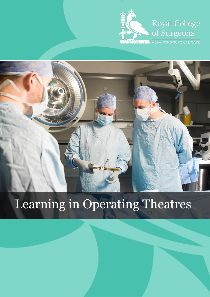



# Learning in Operating Theatres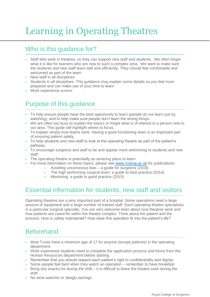## Learning in Operating Theatres

#### Who is this guidance for?

- Staff who work in theatres, so they can support new staff and students. We often forget what it is like for learners who are new to such a complex area. We want to make sure the students and new staff learn well and efficiently. They should feel comfortable and welcomed as part of the team
- New staff in all disciplines
- Students in all disciplines. This guidance may explain some details so you feel more prepared and can make use of your time to learn
- Work experience students

#### Purpose of this guidance

- To help ensure people have the best opportunity to learn (people do not learn just by watching), and to help make sure people don't learn the wrong things.
- We are often too busy to explain the basics or forget what is of interest to a person new to our area. This guide will highlight where to focus.
- To explain simply how teams work. Having a good functioning team is an important part of ensuring patient safety.
- To help students and new staff to look at the operating theatre as part of the patient's pathway.
- To encourage surgeons and staff to be and appear more welcoming to students and new staff.
- The operating theatre is potentially an amazing place to learn.
- For more information on these topics, please see [www.rcseng.ac.uk](http://www.rcseng.ac.uk/) for publications:
	- Avoiding unconscious bias a guide for surgeons (2016)
	- [The high performing surgical team: a guide to best practice](https://www.rcseng.ac.uk/publications/docs/the-high-performing-surgical-team-a-guide-to-best-practice) (2014)
	- Mentoring: a guide to good practice (2015)

#### Essential information for students, new staff and visitors

Operating theatres are a very important part of a hospital. Some operations need a large amount of equipment and a large number of trained staff. Each operating theatre specialises in a particular surgical specialty. You are very welcome learn about how theatres work and how patients are cared for within the theatre complex. Think about the patient and the process: How is safety maintained? How does this operation fit into the patient's life?

#### Beforehand

- Most Trusts have a minimum age of 17 for anyone (except patients) in the operating department.
- Work experience students need to complete the application process and forms from the Human Resources department before starting.
- Remember that you should respect each patient's right to confidentiality and dignity.
- Some people feel faint when they watch an operation remember to have breakfast
- Bring any snacks for during the shift it is difficult to leave the theatre suite during the shift
- No wrist watches or dangly earrings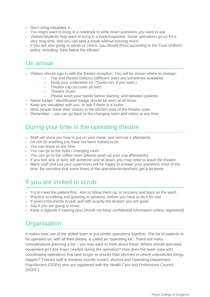- Don't bring valuables in
- You might want to bring in a notebook to write down questions you want to ask
- Visitors/students may want to bring in a book/magazine. Some operations go on for a very long time, and you can take a break without missing much.
- If you are also going to wards or clinics, you should dress according to the Trust Uniform policy, including "bare below the elbows"

## On arrival

- Visitors should sign in with the theatre reception. You will be shown where to change:
	- Top and theatre bottoms (different sizes are sometimes available)
		- Keep your underwear on. (Socks too, if you want.)
		- Theatre cap (to cover all hair)
		- Theatre shoes
		- Please wash your hands before starting, and between patients
- Name badge / identification badge should be worn at all times
- Keep any valuables with you, or ask if there is a locker
- Most people leave their snacks in the kitchen area of the theatre suite
- **Remember** you can go back to the changing room and toilets at any time.

#### During your time in the operating theatre

- Staff will show you how to put on your mask, and remove it afterwards
- Do not do anything you have not been trained to do
- You can leave at any time
- You can go to the toilet / changing room
- You can go to the coffee room (please wash up your cup afterwards)
- If you feel sick or faint: tell someone and sit down; you may need to leave the theatre.
- Many staff (not just your supervisor) will be happy to answer your questions most of the time. Be sensitive that some times of the operation/anaesthetic get a bit tense

#### If you are invited to scrub:

- Try to meet the patient first. Aim to follow them up, in recovery and back on the ward.
- Practice scrubbing and gowning in advance, before you have to do it for real
- If given instruments to pull, pull with exactly the tension you are given
- Say if you are going to move.
- Keep a logbook if training (you should not keep confidential information unless registered)

## **Organisation**

It makes best use of the skilled team to put similar operations together. The list of patients to be operated on, with all their details, is called an "operating list". There are many considerations planning a list – you may want to think about these: Where should specialist equipment go? Are Xrays needed during the operation? How does the team cope with coordinating operations that take longer or shorter than planned or where unpredicted things happen? Trained staff in theatres include nurses, doctors and Operating Department Practitioners (ODPs) who are registered with the Health Care and Professions Council (HCPC).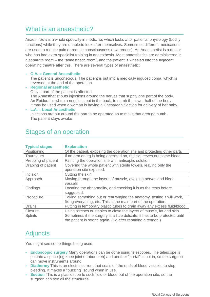#### What is an anaesthetic?

Anaesthesia is a whole specialty in medicine, which looks after patients' physiology (bodily functions) while they are unable to look after themselves. Sometimes different medications are used to reduce pain or reduce consciousness (awareness). An Anaesthetist is a doctor who has had extra specialist training in anaesthesia. Most anaesthetics are administered in a separate room – the "anaesthetic room", and the patient is wheeled into the adjacent operating theatre after this. There are several types of anaesthetic:

#### **G.A. = General Anaesthetic**

The patient is unconscious. The patient is put into a medically induced coma, which is reversed at the end of the operation.

- **Regional anaesthetic** Only a part of the patient is affected. The Anaesthetist puts injections around the nerves that supply one part of the body. An Epidural is when a needle is put in the back, to numb the lower half of the body. It may be used when a woman is having a Caesarean Section for delivery of her baby.
- **L.A. = Local Anaesthetic** Injections are put around the part to be operated on to make that area go numb. The patient stays awake

| <b>Typical stages</b> | <b>Explanation</b>                                                                                                                        |  |  |  |
|-----------------------|-------------------------------------------------------------------------------------------------------------------------------------------|--|--|--|
| Positioning           | Of the patient, exposing the operation site and protecting other parts                                                                    |  |  |  |
| Tourniquet            | If an arm or leg is being operated on, this squeezes out some blood                                                                       |  |  |  |
| Prepping of patient   | Painting the operation site with antiseptic solution                                                                                      |  |  |  |
| Draping of patient    | Covering the whole patient with sterile towels, leaving only the<br>operation site exposed.                                               |  |  |  |
| Incision              | Cutting the skin                                                                                                                          |  |  |  |
| Approach              | Moving through the layers of muscle, avoiding nerves and blood                                                                            |  |  |  |
|                       | vessels                                                                                                                                   |  |  |  |
| Findings              | Locating the abnormality, and checking it is as the tests before<br>suggested.                                                            |  |  |  |
| Procedure             | Taking something out or rearranging the anatomy, testing it will work,<br>fixing everything, etc. This is the main part of the operation. |  |  |  |
| <b>Drains</b>         | Putting in temporary plastic tubes to drain away any excess fluid/blood.                                                                  |  |  |  |
| Closure               | Using stitches or staples to close the layers of muscle, fat and skin.                                                                    |  |  |  |
| <b>Splints</b>        | Sometimes if the surgery is a little delicate, it has to be protected until                                                               |  |  |  |
|                       | the patient is strong again. (Eg after repairing a tendon.)                                                                               |  |  |  |

#### Stages of an operation

### **Adjuncts**

You might see some things being used:

- **Endoscopic surgery** Many operations can be done using telescopes. The telescope is put into a space (eg knee joint or abdomen) and another "portal" is put in, so the surgeon can move instruments around.
- **Diathermy** This is an electric current that seals off the ends of blood vessels, to stop bleeding. It makes a "buzzing" sound when in use.
- **Suction** This is a plastic tube to suck fluid or blood out of the operation site, so the surgeon can see all the structures.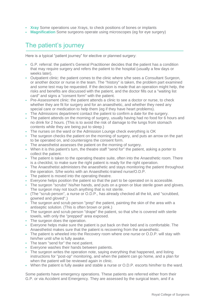- **Xray** Some operations use Xrays, to check positions of bones or implants
- **Magnification** Some surgeons operate using microscopes (eg for eye surgery)

### The patient's journey

Here is a typical "patient journey" for elective or planned surgery:

- G.P. referral: the patient's General Practitioner decides that the patient has a condition that may require surgery and refers the patient to the hospital (usually a few days or weeks later).
- Outpatient clinic: the patient comes to the clinic where s/he sees a Consultant Surgeon, or another doctor or nurse in the team. The "history" is taken, the problem part examined and some test may be requested. If the decision is made that an operation might help, the risks and benefits are discussed with the patient, and the doctor fills out a "waiting list card" and signs a "consent form" with the patient.
- Pre-Assessment clinic: the patient attends a clinic to see a doctor or nurse, to check whether they are fit for surgery and for an anaesthetic, and whether they need any special care or medication to help them (eg if they have heart problems).
- The Admissions department contact the patient to confirm a date for the surgery.
- The patient attends on the morning of surgery, usually having had no food for 6 hours and no drink for 2 hours. (This is to avoid the risk of damage to the lungs from stomach contents while they are being put to sleep.)
- The nurses on the ward or the Admission Lounge check everything is OK
- The surgeon checks the patient on the morning of surgery, and puts an arrow on the part to be operated on, and countersigns the consent form.
- The anaesthetist assesses the patient on the morning of surgery.
- When it is this patient's turn, the theatre staff "send for" the patient, asking a porter to collect the patient.
- The patient is taken to the operating theatre suite, often into the Anaesthetic room. There is a checklist, to make sure the right patient is ready for the right operation.
- The Anaesthetist administers the anaesthetic and stays monitoring the patient throughout the operation. S/he works with an Anaesthetic-trained nurse/O.D.P.
- The patient is moved into the operating theatre.
- Everyone helps position the patient so that the part to be operated on is accessible.
- The surgeon "scrubs" his/her hands, and puts on a green or blue sterile gown and gloves. The surgeon may not touch anything that is not sterile.
- (The "scrub person", a nurse or O.D.P., has already checked all the kit, and "scrubbed, gowned and gloved".)
- The surgeon and scrub person "prep" the patient, painting the skin of the area with a antiseptic solution. (This is often brown or pink.)
- The surgeon and scrub person "drape" the patient, so that s/he is covered with sterile towels, with only the "prepped" area exposed.
- The surgeon does the operation.
- Everyone helps make sure the patient is put back on their bed and is comfortable. The Anaesthetist makes sure that the patient is recovering from the anaesthetic.
- The patient is wheeled into the Recovery room where one nurse or O.D.P. will stay with him/her until s/he is fully awake.
- The team "send for" the next patient.
- Everyone washes their hands between patients.
- The surgeon writes the operation note, saying everything that happened, and listing instructions for "post-op" monitoring, and when the patient can go home, and a plan for when the patient will be reviewed again in clinic.
- When the patient is fully awake and stable a nurse or O.D.P. escorts him/her to the ward.

Some patients have emergency operations. These patients are referred either from their G.P. or via Accident and Emergency. They are assessed by the surgical team, and if a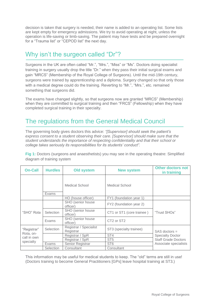decision is taken that surgery is needed, their name is added to an operating list. Some lists are kept empty for emergency admissions. We try to avoid operating at night, unless the operation is life-saving or limb-saving. The patient may have tests and be prepared overnight for a "Trauma list" or "CEPOD list" the next day.

#### Why isn't the surgeon called "Dr"?

Surgeons in the UK are often called "Mr.", "Mrs.", "Miss" or "Ms". Doctors doing specialist training in surgery usually drop the title "Dr." when they pass their initial surgical exams and gain "MRCS" (Membership of the Royal College of Surgeons). Until the mid-19th century, surgeons were trained by apprenticeship and a diploma. Surgery changed so that only those with a medical degree could do the training. Reverting to "Mr.", "Mrs.", etc. remained something that surgeons did.

The exams have changed slightly, so that surgeons now are granted "MRCS" (Membership) when they are committed to surgical training and then "FRCS" (Fellowship) when they have completed surgical training in their specialty.

#### The regulations from the General Medical Council

The governing body gives doctors this advice: *"[Supervisor] should seek the patient's express consent to a student observing their care. [Supervisor] should make sure that the student understands the importance of respecting confidentiality and that their school or college takes seriously its responsibilities for its students' conduct".*

**Fig 1:** Doctors (surgeons and anaesthetists) you may see in the operating theatre: Simplified diagram of training system

| <b>On-Call</b>                                       | <b>Hurdles</b> | Old system                            | <b>New system</b>                  | <b>Other doctors not</b><br>in training |
|------------------------------------------------------|----------------|---------------------------------------|------------------------------------|-----------------------------------------|
|                                                      | Exams          | Medical School                        | Medical School                     |                                         |
|                                                      |                | HO (house officer)                    | FY1 (foundation year 1)            |                                         |
| "SHO" Rota                                           |                | <b>SHO</b> (senior house)<br>officer) | FY2 (foundation year 2)            | "Trust SHOs"                            |
|                                                      | Selection      | <b>SHO</b> (senior house)<br>officer) | CT1 or ST1 (core trainee)          |                                         |
|                                                      | Exams          | SHO (senior house<br>officer)         | CT <sub>2</sub> or ST <sub>2</sub> |                                         |
| "Registrar"<br>Rota, on-<br>call in own<br>specialty | Selection      | Registrar / Specialist<br>Registrar   | ST3 (specialty trainee)            | $SAS$ doctors $=$                       |
|                                                      |                | Registrar / SpR                       | ST <sub>4</sub>                    | <b>Specialty Doctor</b>                 |
|                                                      |                | Registrar / SpR                       | ST <sub>5</sub>                    | <b>Staff Grade Doctors</b>              |
|                                                      | Exams          | Senior Registrar                      | ST <sub>6</sub>                    | Associate specialists                   |
|                                                      | Selection      | Consultant                            | Consultant                         |                                         |

This information may be useful for medical students to keep. The "old" terms are still in use! (Doctors training to become General Practitioners [GPs] leave hospital training at ST3.)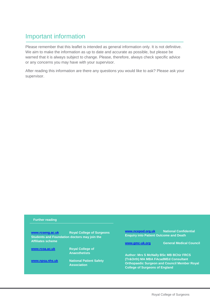### Important information

Please remember that this leaflet is intended as general information only. It is not definitive. We aim to make the information as up to date and accurate as possible, but please be warned that it is always subject to change. Please, therefore, always check specific advice or any concerns you may have with your supervisor.

After reading this information are there any questions you would like to ask? Please ask your supervisor.

#### **Further reading**

**[www.rcseng.ac.uk](http://www.rcseng.ac.uk/) Royal College of Surgeons Students and Foundation doctors may join the Affiliates scheme [www.rcoa.ac.uk](http://www.rcoa.ac.uk/) Royal College of Anaesthetists [www.npsa.nhs.uk](http://www.npsa.nhs.uk/) National Patient Safety Association [www.ncepod.org.uk](http://www.ncepod.org.uk/) National Confidential Enquiry into Patient Outcome and Death [www.gmc-uk.org](http://www.gmc-uk.org/) General Medical Council Author: Mrs S McNally BSc MB BChir FRCS (Tr&Orth) MA MBA FAcadMEd Consultant Orthopaedic Surgeon and Council Member Royal College of Surgeons of England**